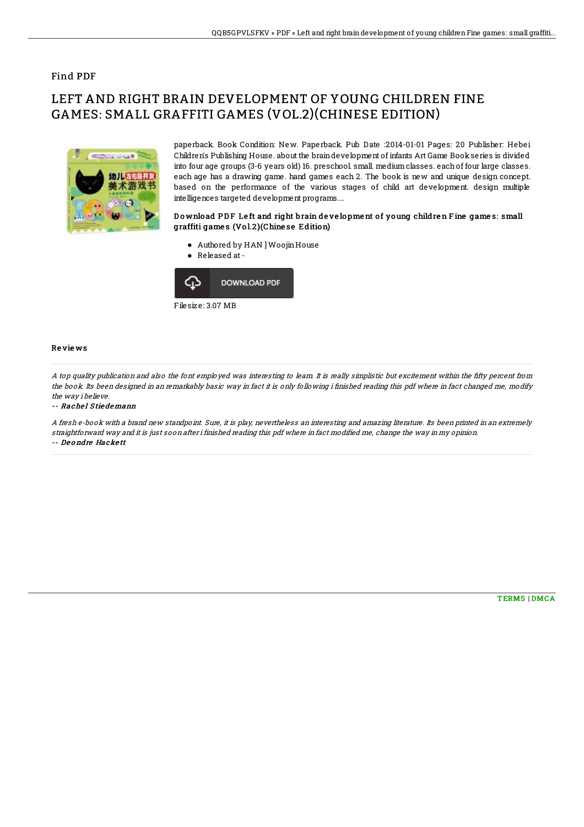## Find PDF

# LEFT AND RIGHT BRAIN DEVELOPMENT OF YOUNG CHILDREN FINE GAMES: SMALL GRAFFITI GAMES (VOL.2)(CHINESE EDITION)



paperback. Book Condition: New. Paperback. Pub Date :2014-01-01 Pages: 20 Publisher: Hebei Children's Publishing House. about the braindevelopment of infants Art Game Book series is divided into four age groups (3-6 years old) 16. preschool. small. mediumclasses. each of four large classes. each age has a drawing game. hand games each 2. The book is new and unique design concept. based on the performance of the various stages of child art development. design multiple intelligences targeted development programs....

### Download PDF Left and right brain development of young children Fine games: small graffiti games (Vol.2)(Chinese Edition)

- Authored by HAN ] WoojinHouse
- Released at-



Filesize: 3.07 MB

#### Re vie ws

A top quality publication and also the font employed was interesting to learn. It is really simplistic but excitement within the fifty percent from the book. Its been designed in an remarkably basic way in fact it is only following i finished reading this pdf where in fact changed me, modify the way i believe

-- Rachel Stiedemann

A fresh e-book with <sup>a</sup> brand new standpoint. Sure, it is play, nevertheless an interesting and amazing literature. Its been printed in an extremely straightforward way and it is just soon after i finished reading this pdf where in fact modified me, change the way in my opinion. -- De o ndre Hacke tt